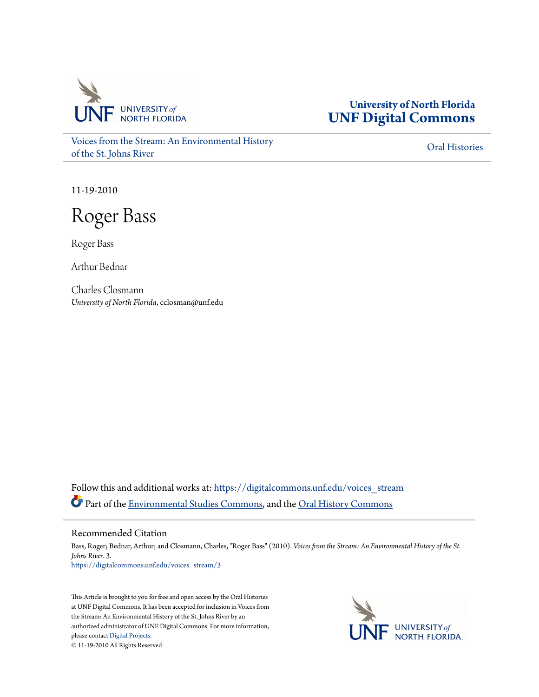

**University of North Florida [UNF Digital Commons](https://digitalcommons.unf.edu?utm_source=digitalcommons.unf.edu%2Fvoices_stream%2F3&utm_medium=PDF&utm_campaign=PDFCoverPages)**

[Voices from the Stream: An Environmental History](https://digitalcommons.unf.edu/voices_stream?utm_source=digitalcommons.unf.edu%2Fvoices_stream%2F3&utm_medium=PDF&utm_campaign=PDFCoverPages) [of the St. Johns River](https://digitalcommons.unf.edu/voices_stream?utm_source=digitalcommons.unf.edu%2Fvoices_stream%2F3&utm_medium=PDF&utm_campaign=PDFCoverPages)

[Oral Histories](https://digitalcommons.unf.edu/oral_histories?utm_source=digitalcommons.unf.edu%2Fvoices_stream%2F3&utm_medium=PDF&utm_campaign=PDFCoverPages)

11-19-2010

Roger Bass

Roger Bass

Arthur Bednar

Charles Closmann *University of North Florida*, cclosman@unf.edu

Follow this and additional works at: [https://digitalcommons.unf.edu/voices\\_stream](https://digitalcommons.unf.edu/voices_stream?utm_source=digitalcommons.unf.edu%2Fvoices_stream%2F3&utm_medium=PDF&utm_campaign=PDFCoverPages) Part of the [Environmental Studies Commons](http://network.bepress.com/hgg/discipline/1333?utm_source=digitalcommons.unf.edu%2Fvoices_stream%2F3&utm_medium=PDF&utm_campaign=PDFCoverPages), and the [Oral History Commons](http://network.bepress.com/hgg/discipline/1195?utm_source=digitalcommons.unf.edu%2Fvoices_stream%2F3&utm_medium=PDF&utm_campaign=PDFCoverPages)

## Recommended Citation

Bass, Roger; Bednar, Arthur; and Closmann, Charles, "Roger Bass" (2010). *Voices from the Stream: An Environmental History of the St. Johns River*. 3. [https://digitalcommons.unf.edu/voices\\_stream/3](https://digitalcommons.unf.edu/voices_stream/3?utm_source=digitalcommons.unf.edu%2Fvoices_stream%2F3&utm_medium=PDF&utm_campaign=PDFCoverPages)

This Article is brought to you for free and open access by the Oral Histories at UNF Digital Commons. It has been accepted for inclusion in Voices from the Stream: An Environmental History of the St. Johns River by an authorized administrator of UNF Digital Commons. For more information, please contact [Digital Projects.](mailto:lib-digital@unf.edu) © 11-19-2010 All Rights Reserved

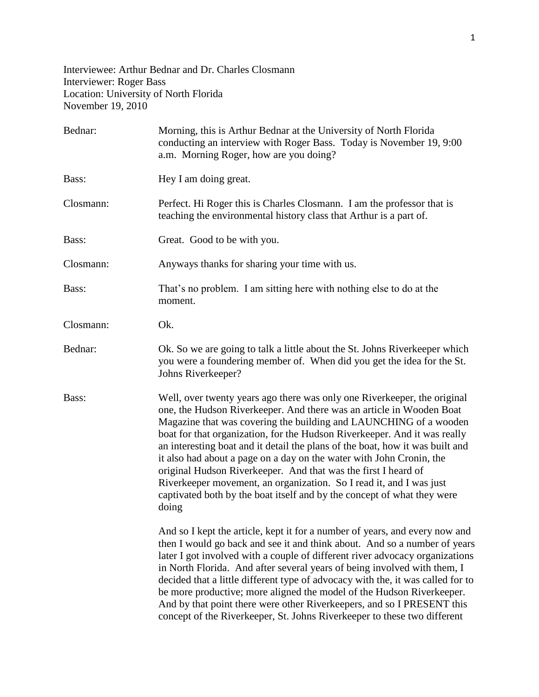Interviewee: Arthur Bednar and Dr. Charles Closmann Interviewer: Roger Bass Location: University of North Florida November 19, 2010

| Bednar:   | Morning, this is Arthur Bednar at the University of North Florida<br>conducting an interview with Roger Bass. Today is November 19, 9:00<br>a.m. Morning Roger, how are you doing?                                                                                                                                                                                                                                                                                                                                                                                                                                                                                                       |
|-----------|------------------------------------------------------------------------------------------------------------------------------------------------------------------------------------------------------------------------------------------------------------------------------------------------------------------------------------------------------------------------------------------------------------------------------------------------------------------------------------------------------------------------------------------------------------------------------------------------------------------------------------------------------------------------------------------|
| Bass:     | Hey I am doing great.                                                                                                                                                                                                                                                                                                                                                                                                                                                                                                                                                                                                                                                                    |
| Closmann: | Perfect. Hi Roger this is Charles Closmann. I am the professor that is<br>teaching the environmental history class that Arthur is a part of.                                                                                                                                                                                                                                                                                                                                                                                                                                                                                                                                             |
| Bass:     | Great. Good to be with you.                                                                                                                                                                                                                                                                                                                                                                                                                                                                                                                                                                                                                                                              |
| Closmann: | Anyways thanks for sharing your time with us.                                                                                                                                                                                                                                                                                                                                                                                                                                                                                                                                                                                                                                            |
| Bass:     | That's no problem. I am sitting here with nothing else to do at the<br>moment.                                                                                                                                                                                                                                                                                                                                                                                                                                                                                                                                                                                                           |
| Closmann: | Ok.                                                                                                                                                                                                                                                                                                                                                                                                                                                                                                                                                                                                                                                                                      |
| Bednar:   | Ok. So we are going to talk a little about the St. Johns Riverkeeper which<br>you were a foundering member of. When did you get the idea for the St.<br>Johns Riverkeeper?                                                                                                                                                                                                                                                                                                                                                                                                                                                                                                               |
| Bass:     | Well, over twenty years ago there was only one Riverkeeper, the original<br>one, the Hudson Riverkeeper. And there was an article in Wooden Boat<br>Magazine that was covering the building and LAUNCHING of a wooden<br>boat for that organization, for the Hudson Riverkeeper. And it was really<br>an interesting boat and it detail the plans of the boat, how it was built and<br>it also had about a page on a day on the water with John Cronin, the<br>original Hudson Riverkeeper. And that was the first I heard of<br>Riverkeeper movement, an organization. So I read it, and I was just<br>captivated both by the boat itself and by the concept of what they were<br>doing |
|           | And so I kept the article, kept it for a number of years, and every now and<br>then I would go back and see it and think about. And so a number of years<br>later I got involved with a couple of different river advocacy organizations<br>in North Florida. And after several years of being involved with them, I<br>decided that a little different type of advocacy with the, it was called for to<br>be more productive; more aligned the model of the Hudson Riverkeeper.<br>And by that point there were other Riverkeepers, and so I PRESENT this<br>concept of the Riverkeeper, St. Johns Riverkeeper to these two different                                                   |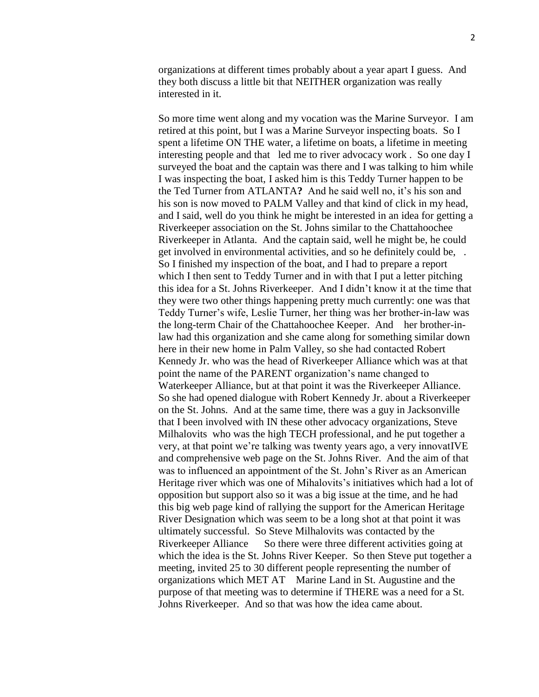organizations at different times probably about a year apart I guess. And they both discuss a little bit that NEITHER organization was really interested in it.

So more time went along and my vocation was the Marine Surveyor. I am retired at this point, but I was a Marine Surveyor inspecting boats. So I spent a lifetime ON THE water, a lifetime on boats, a lifetime in meeting interesting people and that led me to river advocacy work . So one day I surveyed the boat and the captain was there and I was talking to him while I was inspecting the boat, I asked him is this Teddy Turner happen to be the Ted Turner from ATLANTA**?** And he said well no, it's his son and his son is now moved to PALM Valley and that kind of click in my head, and I said, well do you think he might be interested in an idea for getting a Riverkeeper association on the St. Johns similar to the Chattahoochee Riverkeeper in Atlanta. And the captain said, well he might be, he could get involved in environmental activities, and so he definitely could be, . So I finished my inspection of the boat, and I had to prepare a report which I then sent to Teddy Turner and in with that I put a letter pitching this idea for a St. Johns Riverkeeper. And I didn't know it at the time that they were two other things happening pretty much currently: one was that Teddy Turner's wife, Leslie Turner, her thing was her brother-in-law was the long-term Chair of the Chattahoochee Keeper. And her brother-inlaw had this organization and she came along for something similar down here in their new home in Palm Valley, so she had contacted Robert Kennedy Jr. who was the head of Riverkeeper Alliance which was at that point the name of the PARENT organization's name changed to Waterkeeper Alliance, but at that point it was the Riverkeeper Alliance. So she had opened dialogue with Robert Kennedy Jr. about a Riverkeeper on the St. Johns. And at the same time, there was a guy in Jacksonville that I been involved with IN these other advocacy organizations, Steve Milhalovits who was the high TECH professional, and he put together a very, at that point we're talking was twenty years ago, a very innovatIVE and comprehensive web page on the St. Johns River. And the aim of that was to influenced an appointment of the St. John's River as an American Heritage river which was one of Mihalovits's initiatives which had a lot of opposition but support also so it was a big issue at the time, and he had this big web page kind of rallying the support for the American Heritage River Designation which was seem to be a long shot at that point it was ultimately successful. So Steve Milhalovits was contacted by the Riverkeeper Alliance So there were three different activities going at which the idea is the St. Johns River Keeper. So then Steve put together a meeting, invited 25 to 30 different people representing the number of organizations which MET AT Marine Land in St. Augustine and the purpose of that meeting was to determine if THERE was a need for a St. Johns Riverkeeper. And so that was how the idea came about.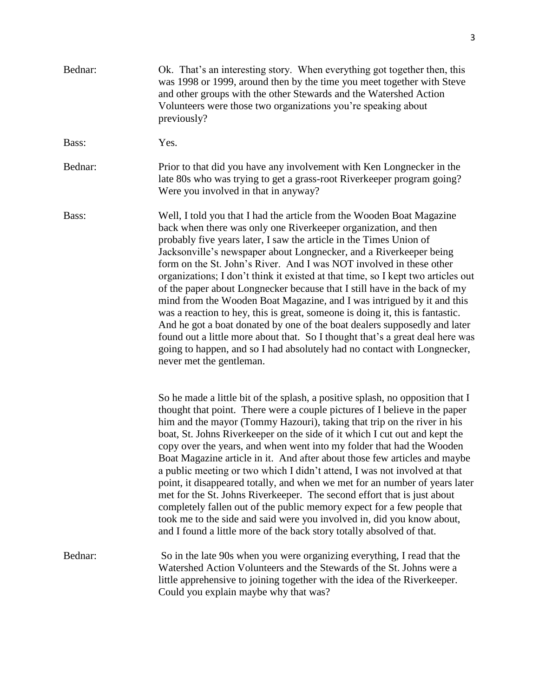| Bednar: | Ok. That's an interesting story. When everything got together then, this<br>was 1998 or 1999, around then by the time you meet together with Steve<br>and other groups with the other Stewards and the Watershed Action<br>Volunteers were those two organizations you're speaking about<br>previously?                                                                                                                                                                                                                                                                                                                                                                                                                                                                                                                                                                                                                                                       |
|---------|---------------------------------------------------------------------------------------------------------------------------------------------------------------------------------------------------------------------------------------------------------------------------------------------------------------------------------------------------------------------------------------------------------------------------------------------------------------------------------------------------------------------------------------------------------------------------------------------------------------------------------------------------------------------------------------------------------------------------------------------------------------------------------------------------------------------------------------------------------------------------------------------------------------------------------------------------------------|
| Bass:   | Yes.                                                                                                                                                                                                                                                                                                                                                                                                                                                                                                                                                                                                                                                                                                                                                                                                                                                                                                                                                          |
| Bednar: | Prior to that did you have any involvement with Ken Longnecker in the<br>late 80s who was trying to get a grass-root Riverkeeper program going?<br>Were you involved in that in anyway?                                                                                                                                                                                                                                                                                                                                                                                                                                                                                                                                                                                                                                                                                                                                                                       |
| Bass:   | Well, I told you that I had the article from the Wooden Boat Magazine<br>back when there was only one Riverkeeper organization, and then<br>probably five years later, I saw the article in the Times Union of<br>Jacksonville's newspaper about Longnecker, and a Riverkeeper being<br>form on the St. John's River. And I was NOT involved in these other<br>organizations; I don't think it existed at that time, so I kept two articles out<br>of the paper about Longnecker because that I still have in the back of my<br>mind from the Wooden Boat Magazine, and I was intrigued by it and this<br>was a reaction to hey, this is great, someone is doing it, this is fantastic.<br>And he got a boat donated by one of the boat dealers supposedly and later<br>found out a little more about that. So I thought that's a great deal here was<br>going to happen, and so I had absolutely had no contact with Longnecker,<br>never met the gentleman. |
|         | So he made a little bit of the splash, a positive splash, no opposition that I<br>thought that point. There were a couple pictures of I believe in the paper<br>him and the mayor (Tommy Hazouri), taking that trip on the river in his<br>boat, St. Johns Riverkeeper on the side of it which I cut out and kept the<br>copy over the years, and when went into my folder that had the Wooden<br>Boat Magazine article in it. And after about those few articles and maybe<br>a public meeting or two which I didn't attend, I was not involved at that<br>point, it disappeared totally, and when we met for an number of years later<br>met for the St. Johns Riverkeeper. The second effort that is just about<br>completely fallen out of the public memory expect for a few people that<br>took me to the side and said were you involved in, did you know about,<br>and I found a little more of the back story totally absolved of that.              |
| Bednar: | So in the late 90s when you were organizing everything, I read that the<br>Watershed Action Volunteers and the Stewards of the St. Johns were a<br>little apprehensive to joining together with the idea of the Riverkeeper.<br>Could you explain maybe why that was?                                                                                                                                                                                                                                                                                                                                                                                                                                                                                                                                                                                                                                                                                         |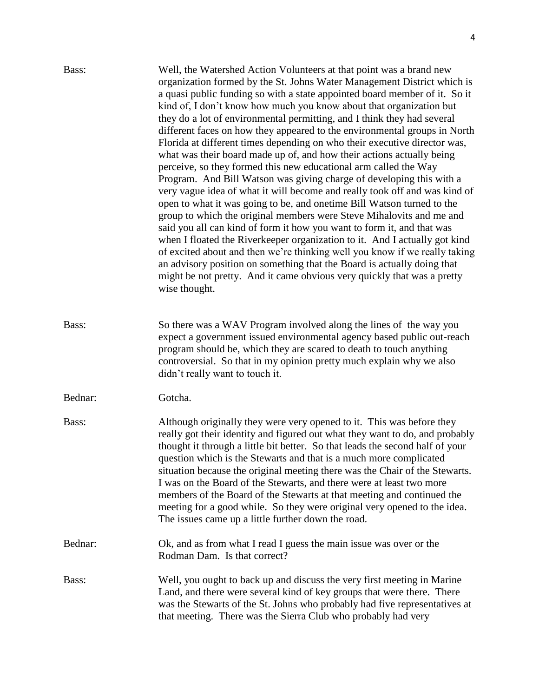| Bass:   | Well, the Watershed Action Volunteers at that point was a brand new<br>organization formed by the St. Johns Water Management District which is<br>a quasi public funding so with a state appointed board member of it. So it<br>kind of, I don't know how much you know about that organization but<br>they do a lot of environmental permitting, and I think they had several<br>different faces on how they appeared to the environmental groups in North<br>Florida at different times depending on who their executive director was,<br>what was their board made up of, and how their actions actually being<br>perceive, so they formed this new educational arm called the Way<br>Program. And Bill Watson was giving charge of developing this with a<br>very vague idea of what it will become and really took off and was kind of<br>open to what it was going to be, and onetime Bill Watson turned to the<br>group to which the original members were Steve Mihalovits and me and<br>said you all can kind of form it how you want to form it, and that was<br>when I floated the Riverkeeper organization to it. And I actually got kind<br>of excited about and then we're thinking well you know if we really taking<br>an advisory position on something that the Board is actually doing that<br>might be not pretty. And it came obvious very quickly that was a pretty<br>wise thought. |
|---------|------------------------------------------------------------------------------------------------------------------------------------------------------------------------------------------------------------------------------------------------------------------------------------------------------------------------------------------------------------------------------------------------------------------------------------------------------------------------------------------------------------------------------------------------------------------------------------------------------------------------------------------------------------------------------------------------------------------------------------------------------------------------------------------------------------------------------------------------------------------------------------------------------------------------------------------------------------------------------------------------------------------------------------------------------------------------------------------------------------------------------------------------------------------------------------------------------------------------------------------------------------------------------------------------------------------------------------------------------------------------------------------------------------|
| Bass:   | So there was a WAV Program involved along the lines of the way you<br>expect a government issued environmental agency based public out-reach<br>program should be, which they are scared to death to touch anything<br>controversial. So that in my opinion pretty much explain why we also<br>didn't really want to touch it.                                                                                                                                                                                                                                                                                                                                                                                                                                                                                                                                                                                                                                                                                                                                                                                                                                                                                                                                                                                                                                                                             |
| Bednar: | Gotcha.                                                                                                                                                                                                                                                                                                                                                                                                                                                                                                                                                                                                                                                                                                                                                                                                                                                                                                                                                                                                                                                                                                                                                                                                                                                                                                                                                                                                    |
| Bass:   | Although originally they were very opened to it. This was before they<br>really got their identity and figured out what they want to do, and probably<br>thought it through a little bit better. So that leads the second half of your<br>question which is the Stewarts and that is a much more complicated<br>situation because the original meeting there was the Chair of the Stewarts.<br>I was on the Board of the Stewarts, and there were at least two more<br>members of the Board of the Stewarts at that meeting and continued the<br>meeting for a good while. So they were original very opened to the idea.<br>The issues came up a little further down the road.                                                                                                                                                                                                                                                                                                                                                                                                                                                                                                                                                                                                                                                                                                                            |
| Bednar: | Ok, and as from what I read I guess the main issue was over or the<br>Rodman Dam. Is that correct?                                                                                                                                                                                                                                                                                                                                                                                                                                                                                                                                                                                                                                                                                                                                                                                                                                                                                                                                                                                                                                                                                                                                                                                                                                                                                                         |
| Bass:   | Well, you ought to back up and discuss the very first meeting in Marine<br>Land, and there were several kind of key groups that were there. There<br>was the Stewarts of the St. Johns who probably had five representatives at<br>that meeting. There was the Sierra Club who probably had very                                                                                                                                                                                                                                                                                                                                                                                                                                                                                                                                                                                                                                                                                                                                                                                                                                                                                                                                                                                                                                                                                                           |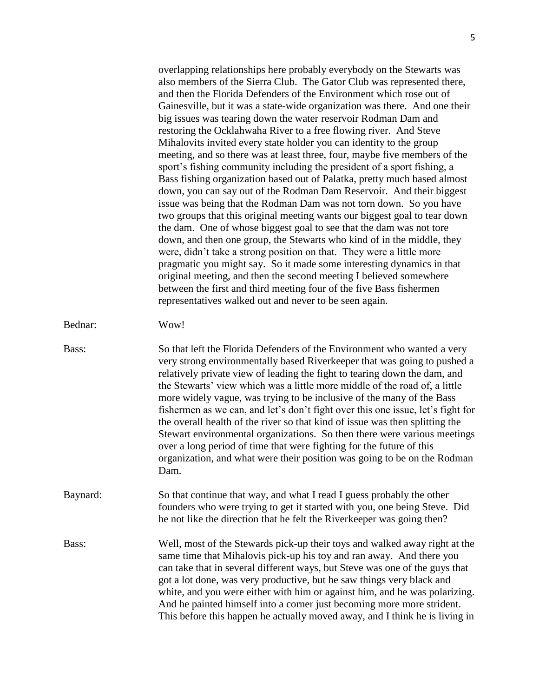overlapping relationships here probably everybody on the Stewarts was also members of the Sierra Club. The Gator Club was represented there, and then the Florida Defenders of the Environment which rose out of Gainesville, but it was a state-wide organization was there. And one their big issues was tearing down the water reservoir Rodman Dam and restoring the Ocklahwaha River to a free flowing river. And Steve Mihalovits invited every state holder you can identity to the group meeting, and so there was at least three, four, maybe five members of the sport's fishing community including the president of a sport fishing, a Bass fishing organization based out of Palatka, pretty much based almost down, you can say out of the Rodman Dam Reservoir. And their biggest issue was being that the Rodman Dam was not torn down. So you have two groups that this original meeting wants our biggest goal to tear down the dam. One of whose biggest goal to see that the dam was not tore down, and then one group, the Stewarts who kind of in the middle, they were, didn't take a strong position on that. They were a little more pragmatic you might say. So it made some interesting dynamics in that original meeting, and then the second meeting I believed somewhere between the first and third meeting four of the five Bass fishermen representatives walked out and never to be seen again.

- Bednar: Wow!
- Bass: So that left the Florida Defenders of the Environment who wanted a very very strong environmentally based Riverkeeper that was going to pushed a relatively private view of leading the fight to tearing down the dam, and the Stewarts' view which was a little more middle of the road of, a little more widely vague, was trying to be inclusive of the many of the Bass fishermen as we can, and let's don't fight over this one issue, let's fight for the overall health of the river so that kind of issue was then splitting the Stewart environmental organizations. So then there were various meetings over a long period of time that were fighting for the future of this organization, and what were their position was going to be on the Rodman Dam.
- Baynard: So that continue that way, and what I read I guess probably the other founders who were trying to get it started with you, one being Steve. Did he not like the direction that he felt the Riverkeeper was going then?
- Bass: Well, most of the Stewards pick-up their toys and walked away right at the same time that Mihalovis pick-up his toy and ran away. And there you can take that in several different ways, but Steve was one of the guys that got a lot done, was very productive, but he saw things very black and white, and you were either with him or against him, and he was polarizing. And he painted himself into a corner just becoming more more strident. This before this happen he actually moved away, and I think he is living in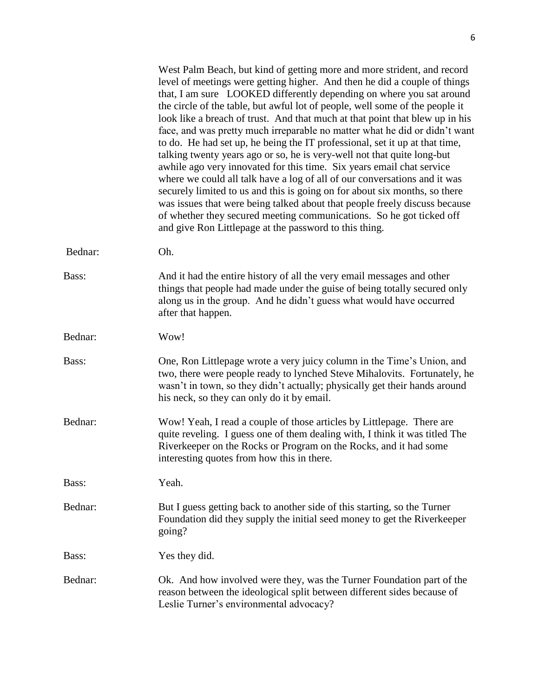|         | West Palm Beach, but kind of getting more and more strident, and record<br>level of meetings were getting higher. And then he did a couple of things<br>that, I am sure LOOKED differently depending on where you sat around<br>the circle of the table, but awful lot of people, well some of the people it<br>look like a breach of trust. And that much at that point that blew up in his<br>face, and was pretty much irreparable no matter what he did or didn't want<br>to do. He had set up, he being the IT professional, set it up at that time,<br>talking twenty years ago or so, he is very-well not that quite long-but<br>awhile ago very innovated for this time. Six years email chat service<br>where we could all talk have a log of all of our conversations and it was<br>securely limited to us and this is going on for about six months, so there<br>was issues that were being talked about that people freely discuss because<br>of whether they secured meeting communications. So he got ticked off<br>and give Ron Littlepage at the password to this thing. |
|---------|------------------------------------------------------------------------------------------------------------------------------------------------------------------------------------------------------------------------------------------------------------------------------------------------------------------------------------------------------------------------------------------------------------------------------------------------------------------------------------------------------------------------------------------------------------------------------------------------------------------------------------------------------------------------------------------------------------------------------------------------------------------------------------------------------------------------------------------------------------------------------------------------------------------------------------------------------------------------------------------------------------------------------------------------------------------------------------------|
| Bednar: | Oh.                                                                                                                                                                                                                                                                                                                                                                                                                                                                                                                                                                                                                                                                                                                                                                                                                                                                                                                                                                                                                                                                                      |
| Bass:   | And it had the entire history of all the very email messages and other<br>things that people had made under the guise of being totally secured only<br>along us in the group. And he didn't guess what would have occurred<br>after that happen.                                                                                                                                                                                                                                                                                                                                                                                                                                                                                                                                                                                                                                                                                                                                                                                                                                         |
| Bednar: | Wow!                                                                                                                                                                                                                                                                                                                                                                                                                                                                                                                                                                                                                                                                                                                                                                                                                                                                                                                                                                                                                                                                                     |
| Bass:   | One, Ron Littlepage wrote a very juicy column in the Time's Union, and<br>two, there were people ready to lynched Steve Mihalovits. Fortunately, he<br>wasn't in town, so they didn't actually; physically get their hands around<br>his neck, so they can only do it by email.                                                                                                                                                                                                                                                                                                                                                                                                                                                                                                                                                                                                                                                                                                                                                                                                          |
| Bednar: | Wow! Yeah, I read a couple of those articles by Littlepage. There are<br>quite reveling. I guess one of them dealing with, I think it was titled The<br>Riverkeeper on the Rocks or Program on the Rocks, and it had some<br>interesting quotes from how this in there.                                                                                                                                                                                                                                                                                                                                                                                                                                                                                                                                                                                                                                                                                                                                                                                                                  |
| Bass:   | Yeah.                                                                                                                                                                                                                                                                                                                                                                                                                                                                                                                                                                                                                                                                                                                                                                                                                                                                                                                                                                                                                                                                                    |
| Bednar: | But I guess getting back to another side of this starting, so the Turner<br>Foundation did they supply the initial seed money to get the Riverkeeper<br>going?                                                                                                                                                                                                                                                                                                                                                                                                                                                                                                                                                                                                                                                                                                                                                                                                                                                                                                                           |
| Bass:   | Yes they did.                                                                                                                                                                                                                                                                                                                                                                                                                                                                                                                                                                                                                                                                                                                                                                                                                                                                                                                                                                                                                                                                            |
| Bednar: | Ok. And how involved were they, was the Turner Foundation part of the<br>reason between the ideological split between different sides because of<br>Leslie Turner's environmental advocacy?                                                                                                                                                                                                                                                                                                                                                                                                                                                                                                                                                                                                                                                                                                                                                                                                                                                                                              |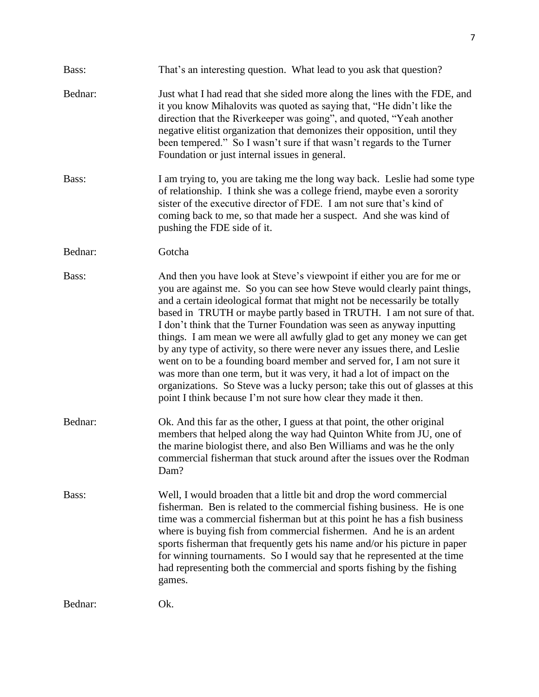| Bass:   | That's an interesting question. What lead to you ask that question?                                                                                                                                                                                                                                                                                                                                                                                                                                                                                                                                                                                                                                                                                                                                                                              |
|---------|--------------------------------------------------------------------------------------------------------------------------------------------------------------------------------------------------------------------------------------------------------------------------------------------------------------------------------------------------------------------------------------------------------------------------------------------------------------------------------------------------------------------------------------------------------------------------------------------------------------------------------------------------------------------------------------------------------------------------------------------------------------------------------------------------------------------------------------------------|
| Bednar: | Just what I had read that she sided more along the lines with the FDE, and<br>it you know Mihalovits was quoted as saying that, "He didn't like the<br>direction that the Riverkeeper was going", and quoted, "Yeah another<br>negative elitist organization that demonizes their opposition, until they<br>been tempered." So I wasn't sure if that wasn't regards to the Turner<br>Foundation or just internal issues in general.                                                                                                                                                                                                                                                                                                                                                                                                              |
| Bass:   | I am trying to, you are taking me the long way back. Leslie had some type<br>of relationship. I think she was a college friend, maybe even a sorority<br>sister of the executive director of FDE. I am not sure that's kind of<br>coming back to me, so that made her a suspect. And she was kind of<br>pushing the FDE side of it.                                                                                                                                                                                                                                                                                                                                                                                                                                                                                                              |
| Bednar: | Gotcha                                                                                                                                                                                                                                                                                                                                                                                                                                                                                                                                                                                                                                                                                                                                                                                                                                           |
| Bass:   | And then you have look at Steve's viewpoint if either you are for me or<br>you are against me. So you can see how Steve would clearly paint things,<br>and a certain ideological format that might not be necessarily be totally<br>based in TRUTH or maybe partly based in TRUTH. I am not sure of that.<br>I don't think that the Turner Foundation was seen as anyway inputting<br>things. I am mean we were all awfully glad to get any money we can get<br>by any type of activity, so there were never any issues there, and Leslie<br>went on to be a founding board member and served for, I am not sure it<br>was more than one term, but it was very, it had a lot of impact on the<br>organizations. So Steve was a lucky person; take this out of glasses at this<br>point I think because I'm not sure how clear they made it then. |
| Bednar: | Ok. And this far as the other, I guess at that point, the other original<br>members that helped along the way had Quinton White from JU, one of<br>the marine biologist there, and also Ben Williams and was he the only<br>commercial fisherman that stuck around after the issues over the Rodman<br>Dam?                                                                                                                                                                                                                                                                                                                                                                                                                                                                                                                                      |
| Bass:   | Well, I would broaden that a little bit and drop the word commercial<br>fisherman. Ben is related to the commercial fishing business. He is one<br>time was a commercial fisherman but at this point he has a fish business<br>where is buying fish from commercial fishermen. And he is an ardent<br>sports fisherman that frequently gets his name and/or his picture in paper<br>for winning tournaments. So I would say that he represented at the time<br>had representing both the commercial and sports fishing by the fishing<br>games.                                                                                                                                                                                                                                                                                                  |
| Bednar: | Ok.                                                                                                                                                                                                                                                                                                                                                                                                                                                                                                                                                                                                                                                                                                                                                                                                                                              |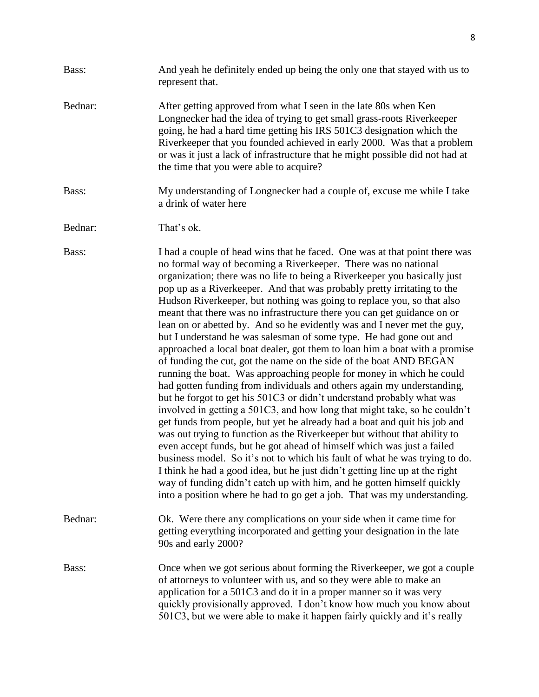| Bass:   | And yeah he definitely ended up being the only one that stayed with us to<br>represent that.                                                                                                                                                                                                                                                                                                                                                                                                                                                                                                                                                                                                                                                                                                                                                                                                                                                                                                                                                                                                                                                                                                                                                                                                                                                                                                                                                                                                                                                                                                                                   |
|---------|--------------------------------------------------------------------------------------------------------------------------------------------------------------------------------------------------------------------------------------------------------------------------------------------------------------------------------------------------------------------------------------------------------------------------------------------------------------------------------------------------------------------------------------------------------------------------------------------------------------------------------------------------------------------------------------------------------------------------------------------------------------------------------------------------------------------------------------------------------------------------------------------------------------------------------------------------------------------------------------------------------------------------------------------------------------------------------------------------------------------------------------------------------------------------------------------------------------------------------------------------------------------------------------------------------------------------------------------------------------------------------------------------------------------------------------------------------------------------------------------------------------------------------------------------------------------------------------------------------------------------------|
| Bednar: | After getting approved from what I seen in the late 80s when Ken<br>Longnecker had the idea of trying to get small grass-roots Riverkeeper<br>going, he had a hard time getting his IRS 501C3 designation which the<br>Riverkeeper that you founded achieved in early 2000. Was that a problem<br>or was it just a lack of infrastructure that he might possible did not had at<br>the time that you were able to acquire?                                                                                                                                                                                                                                                                                                                                                                                                                                                                                                                                                                                                                                                                                                                                                                                                                                                                                                                                                                                                                                                                                                                                                                                                     |
| Bass:   | My understanding of Longnecker had a couple of, excuse me while I take<br>a drink of water here                                                                                                                                                                                                                                                                                                                                                                                                                                                                                                                                                                                                                                                                                                                                                                                                                                                                                                                                                                                                                                                                                                                                                                                                                                                                                                                                                                                                                                                                                                                                |
| Bednar: | That's ok.                                                                                                                                                                                                                                                                                                                                                                                                                                                                                                                                                                                                                                                                                                                                                                                                                                                                                                                                                                                                                                                                                                                                                                                                                                                                                                                                                                                                                                                                                                                                                                                                                     |
| Bass:   | I had a couple of head wins that he faced. One was at that point there was<br>no formal way of becoming a Riverkeeper. There was no national<br>organization; there was no life to being a Riverkeeper you basically just<br>pop up as a Riverkeeper. And that was probably pretty irritating to the<br>Hudson Riverkeeper, but nothing was going to replace you, so that also<br>meant that there was no infrastructure there you can get guidance on or<br>lean on or abetted by. And so he evidently was and I never met the guy,<br>but I understand he was salesman of some type. He had gone out and<br>approached a local boat dealer, got them to loan him a boat with a promise<br>of funding the cut, got the name on the side of the boat AND BEGAN<br>running the boat. Was approaching people for money in which he could<br>had gotten funding from individuals and others again my understanding,<br>but he forgot to get his 501C3 or didn't understand probably what was<br>involved in getting a 501C3, and how long that might take, so he couldn't<br>get funds from people, but yet he already had a boat and quit his job and<br>was out trying to function as the Riverkeeper but without that ability to<br>even accept funds, but he got ahead of himself which was just a failed<br>business model. So it's not to which his fault of what he was trying to do.<br>I think he had a good idea, but he just didn't getting line up at the right<br>way of funding didn't catch up with him, and he gotten himself quickly<br>into a position where he had to go get a job. That was my understanding. |
| Bednar: | Ok. Were there any complications on your side when it came time for<br>getting everything incorporated and getting your designation in the late<br>90s and early 2000?                                                                                                                                                                                                                                                                                                                                                                                                                                                                                                                                                                                                                                                                                                                                                                                                                                                                                                                                                                                                                                                                                                                                                                                                                                                                                                                                                                                                                                                         |
| Bass:   | Once when we got serious about forming the Riverkeeper, we got a couple<br>of attorneys to volunteer with us, and so they were able to make an<br>application for a 501C3 and do it in a proper manner so it was very<br>quickly provisionally approved. I don't know how much you know about                                                                                                                                                                                                                                                                                                                                                                                                                                                                                                                                                                                                                                                                                                                                                                                                                                                                                                                                                                                                                                                                                                                                                                                                                                                                                                                                  |

501C3, but we were able to make it happen fairly quickly and it's really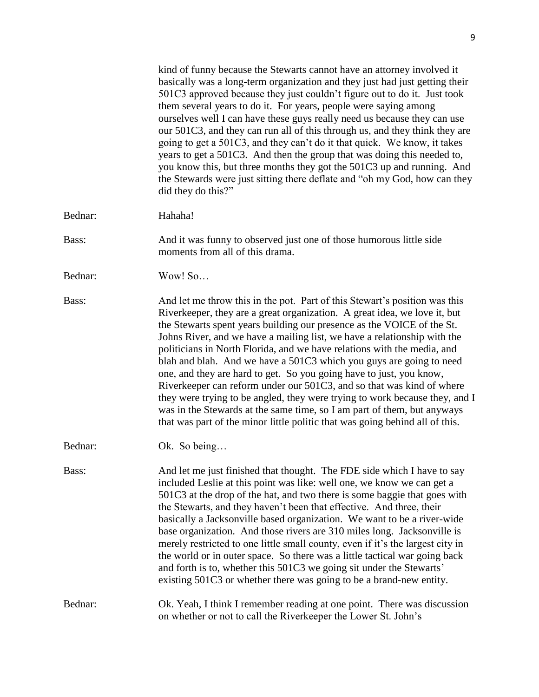kind of funny because the Stewarts cannot have an attorney involved it basically was a long-term organization and they just had just getting their 501C3 approved because they just couldn't figure out to do it. Just took them several years to do it. For years, people were saying among ourselves well I can have these guys really need us because they can use our 501C3, and they can run all of this through us, and they think they are going to get a 501C3, and they can't do it that quick. We know, it takes years to get a 501C3. And then the group that was doing this needed to, you know this, but three months they got the 501C3 up and running. And the Stewards were just sitting there deflate and "oh my God, how can they did they do this?" Bednar: Hahaha! Bass: And it was funny to observed just one of those humorous little side moments from all of this drama. Bednar: Wow! So… Bass: And let me throw this in the pot. Part of this Stewart's position was this Riverkeeper, they are a great organization. A great idea, we love it, but the Stewarts spent years building our presence as the VOICE of the St. Johns River, and we have a mailing list, we have a relationship with the politicians in North Florida, and we have relations with the media, and blah and blah. And we have a 501C3 which you guys are going to need one, and they are hard to get. So you going have to just, you know, Riverkeeper can reform under our 501C3, and so that was kind of where they were trying to be angled, they were trying to work because they, and I was in the Stewards at the same time, so I am part of them, but anyways that was part of the minor little politic that was going behind all of this. Bednar: Ok. So being… Bass: And let me just finished that thought. The FDE side which I have to say included Leslie at this point was like: well one, we know we can get a 501C3 at the drop of the hat, and two there is some baggie that goes with the Stewarts, and they haven't been that effective. And three, their basically a Jacksonville based organization. We want to be a river-wide base organization. And those rivers are 310 miles long. Jacksonville is merely restricted to one little small county, even if it's the largest city in the world or in outer space. So there was a little tactical war going back and forth is to, whether this 501C3 we going sit under the Stewarts' existing 501C3 or whether there was going to be a brand-new entity. Bednar: Ok. Yeah, I think I remember reading at one point. There was discussion on whether or not to call the Riverkeeper the Lower St. John's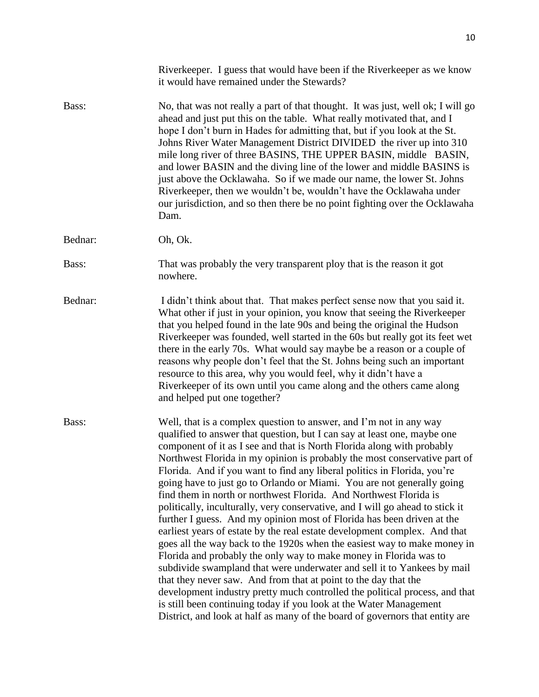|         | Riverkeeper. I guess that would have been if the Riverkeeper as we know<br>it would have remained under the Stewards?                                                                                                                                                                                                                                                                                                                                                                                                                                                                                                                                                                                                                                                                                                                                                                                                                                                                                                                                                                                                                                                                                                                                                                                        |
|---------|--------------------------------------------------------------------------------------------------------------------------------------------------------------------------------------------------------------------------------------------------------------------------------------------------------------------------------------------------------------------------------------------------------------------------------------------------------------------------------------------------------------------------------------------------------------------------------------------------------------------------------------------------------------------------------------------------------------------------------------------------------------------------------------------------------------------------------------------------------------------------------------------------------------------------------------------------------------------------------------------------------------------------------------------------------------------------------------------------------------------------------------------------------------------------------------------------------------------------------------------------------------------------------------------------------------|
| Bass:   | No, that was not really a part of that thought. It was just, well ok; I will go<br>ahead and just put this on the table. What really motivated that, and I<br>hope I don't burn in Hades for admitting that, but if you look at the St.<br>Johns River Water Management District DIVIDED the river up into 310<br>mile long river of three BASINS, THE UPPER BASIN, middle BASIN,<br>and lower BASIN and the diving line of the lower and middle BASINS is<br>just above the Ocklawaha. So if we made our name, the lower St. Johns<br>Riverkeeper, then we wouldn't be, wouldn't have the Ocklawaha under<br>our jurisdiction, and so then there be no point fighting over the Ocklawaha<br>Dam.                                                                                                                                                                                                                                                                                                                                                                                                                                                                                                                                                                                                            |
| Bednar: | Oh, Ok.                                                                                                                                                                                                                                                                                                                                                                                                                                                                                                                                                                                                                                                                                                                                                                                                                                                                                                                                                                                                                                                                                                                                                                                                                                                                                                      |
| Bass:   | That was probably the very transparent ploy that is the reason it got<br>nowhere.                                                                                                                                                                                                                                                                                                                                                                                                                                                                                                                                                                                                                                                                                                                                                                                                                                                                                                                                                                                                                                                                                                                                                                                                                            |
| Bednar: | I didn't think about that. That makes perfect sense now that you said it.<br>What other if just in your opinion, you know that seeing the Riverkeeper<br>that you helped found in the late 90s and being the original the Hudson<br>Riverkeeper was founded, well started in the 60s but really got its feet wet<br>there in the early 70s. What would say maybe be a reason or a couple of<br>reasons why people don't feel that the St. Johns being such an important<br>resource to this area, why you would feel, why it didn't have a<br>Riverkeeper of its own until you came along and the others came along<br>and helped put one together?                                                                                                                                                                                                                                                                                                                                                                                                                                                                                                                                                                                                                                                          |
| Bass:   | Well, that is a complex question to answer, and I'm not in any way<br>qualified to answer that question, but I can say at least one, maybe one<br>component of it as I see and that is North Florida along with probably<br>Northwest Florida in my opinion is probably the most conservative part of<br>Florida. And if you want to find any liberal politics in Florida, you're<br>going have to just go to Orlando or Miami. You are not generally going<br>find them in north or northwest Florida. And Northwest Florida is<br>politically, inculturally, very conservative, and I will go ahead to stick it<br>further I guess. And my opinion most of Florida has been driven at the<br>earliest years of estate by the real estate development complex. And that<br>goes all the way back to the 1920s when the easiest way to make money in<br>Florida and probably the only way to make money in Florida was to<br>subdivide swampland that were underwater and sell it to Yankees by mail<br>that they never saw. And from that at point to the day that the<br>development industry pretty much controlled the political process, and that<br>is still been continuing today if you look at the Water Management<br>District, and look at half as many of the board of governors that entity are |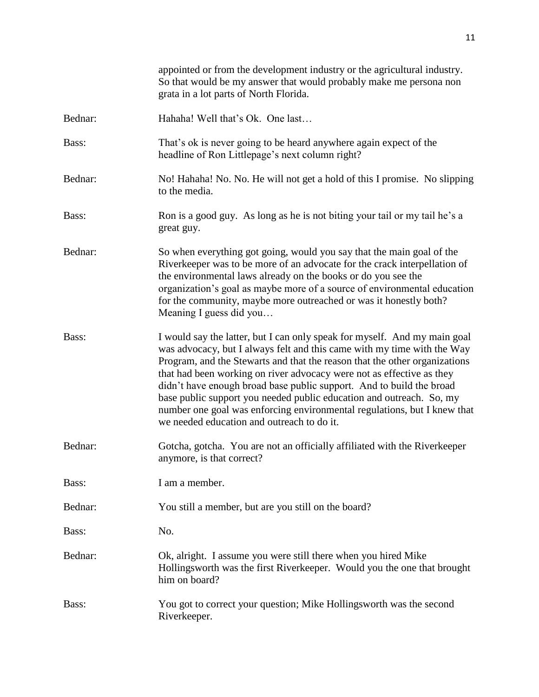|         | appointed or from the development industry or the agricultural industry.<br>So that would be my answer that would probably make me persona non<br>grata in a lot parts of North Florida.                                                                                                                                                                                                                                                                                                                                                                                              |
|---------|---------------------------------------------------------------------------------------------------------------------------------------------------------------------------------------------------------------------------------------------------------------------------------------------------------------------------------------------------------------------------------------------------------------------------------------------------------------------------------------------------------------------------------------------------------------------------------------|
| Bednar: | Hahaha! Well that's Ok. One last                                                                                                                                                                                                                                                                                                                                                                                                                                                                                                                                                      |
| Bass:   | That's ok is never going to be heard anywhere again expect of the<br>headline of Ron Littlepage's next column right?                                                                                                                                                                                                                                                                                                                                                                                                                                                                  |
| Bednar: | No! Hahaha! No. No. He will not get a hold of this I promise. No slipping<br>to the media.                                                                                                                                                                                                                                                                                                                                                                                                                                                                                            |
| Bass:   | Ron is a good guy. As long as he is not biting your tail or my tail he's a<br>great guy.                                                                                                                                                                                                                                                                                                                                                                                                                                                                                              |
| Bednar: | So when everything got going, would you say that the main goal of the<br>Riverkeeper was to be more of an advocate for the crack interpellation of<br>the environmental laws already on the books or do you see the<br>organization's goal as maybe more of a source of environmental education<br>for the community, maybe more outreached or was it honestly both?<br>Meaning I guess did you                                                                                                                                                                                       |
| Bass:   | I would say the latter, but I can only speak for myself. And my main goal<br>was advocacy, but I always felt and this came with my time with the Way<br>Program, and the Stewarts and that the reason that the other organizations<br>that had been working on river advocacy were not as effective as they<br>didn't have enough broad base public support. And to build the broad<br>base public support you needed public education and outreach. So, my<br>number one goal was enforcing environmental regulations, but I knew that<br>we needed education and outreach to do it. |
| Bednar: | Gotcha, gotcha. You are not an officially affiliated with the Riverkeeper<br>anymore, is that correct?                                                                                                                                                                                                                                                                                                                                                                                                                                                                                |
| Bass:   | I am a member.                                                                                                                                                                                                                                                                                                                                                                                                                                                                                                                                                                        |
| Bednar: | You still a member, but are you still on the board?                                                                                                                                                                                                                                                                                                                                                                                                                                                                                                                                   |
| Bass:   | No.                                                                                                                                                                                                                                                                                                                                                                                                                                                                                                                                                                                   |
| Bednar: | Ok, alright. I assume you were still there when you hired Mike<br>Hollingsworth was the first Riverkeeper. Would you the one that brought<br>him on board?                                                                                                                                                                                                                                                                                                                                                                                                                            |
| Bass:   | You got to correct your question; Mike Hollingsworth was the second<br>Riverkeeper.                                                                                                                                                                                                                                                                                                                                                                                                                                                                                                   |